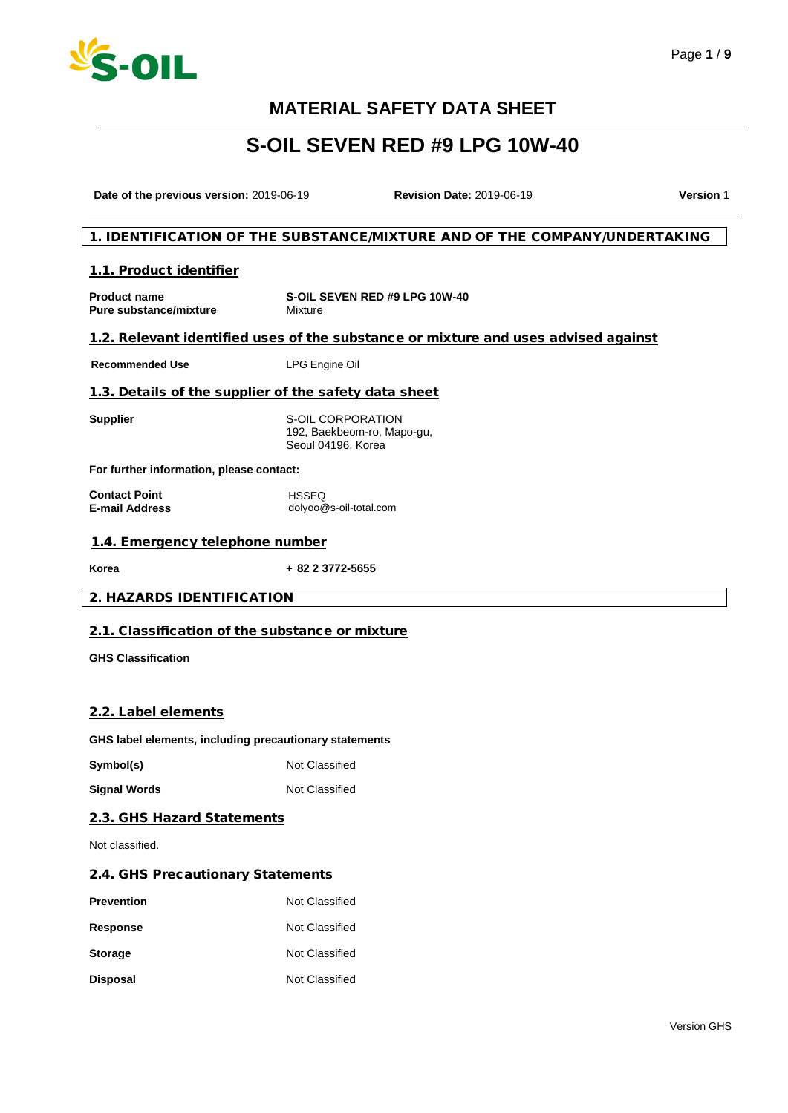

# **S-OIL SEVEN RED #9 LPG 10W-40**

**Date of the previous version:** 2019-06-19 **Revision Date:** 2019-06-19 **Version** 1

### 1. IDENTIFICATION OF THE SUBSTANCE/MIXTURE AND OF THE COMPANY/UNDERTAKING

#### 1.1. Product identifier

| <b>Product name</b>           | S-OIL SEVEN RED #9 LPG 10W-40 |
|-------------------------------|-------------------------------|
| <b>Pure substance/mixture</b> | Mixture                       |

## 1.2. Relevant identified uses of the substance or mixture and uses advised against

**Recommended Use** LPG Engine Oil

### 1.3. Details of the supplier of the safety data sheet

**Supplier** S-OIL CORPORATION 192, Baekbeom-ro, Mapo-gu, Seoul 04196, Korea

#### **For further information, please contact:**

**Contact Point E-mail Address**  HSSEQ dolyoo@s-oil-total.com

## 1.4. Emergency telephone number

**Korea + 82 2 3772-5655**

### 2. HAZARDS IDENTIFICATION

## 2.1. Classification of the substance or mixture

**GHS Classification**

### 2.2. Label elements

**GHS label elements, including precautionary statements**

**Symbol(s)** Not Classified

**Signal Words** Not Classified

### 2.3. GHS Hazard Statements

Not classified.

#### 2.4. GHS Precautionary Statements

| <b>Prevention</b> | Not Classified |
|-------------------|----------------|
| Response          | Not Classified |
| <b>Storage</b>    | Not Classified |
| <b>Disposal</b>   | Not Classified |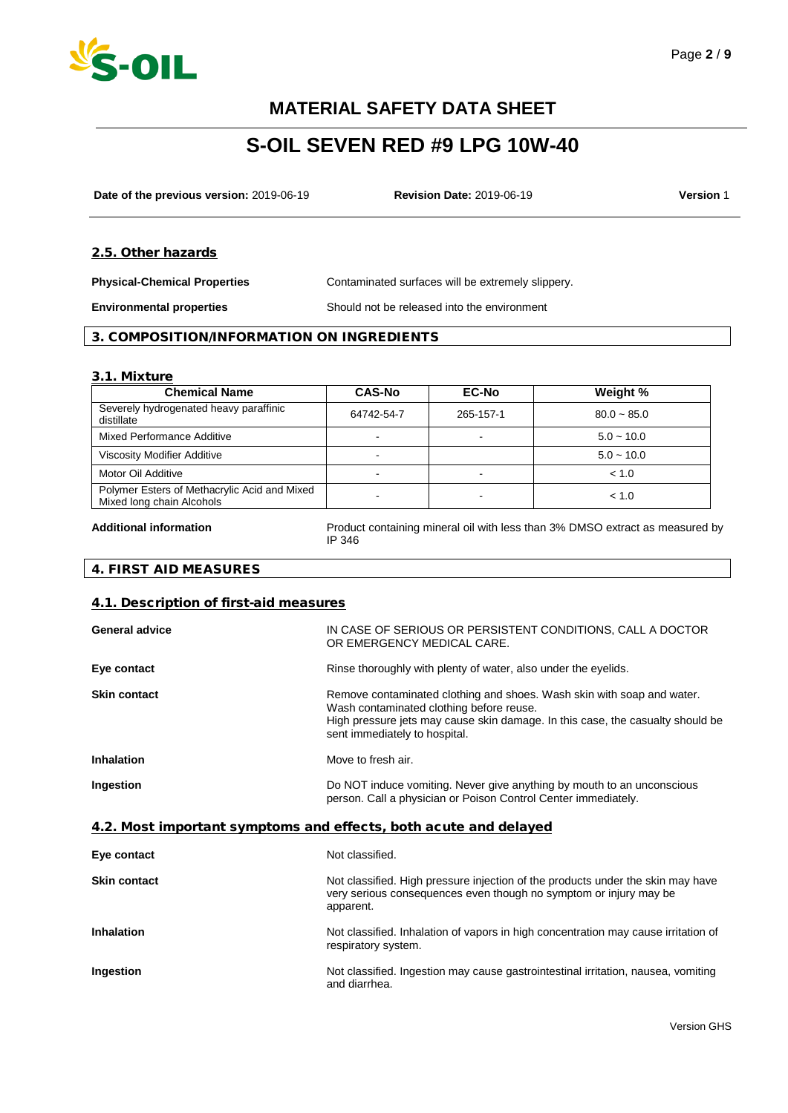

# **S-OIL SEVEN RED #9 LPG 10W-40**

**Date of the previous version:** 2019-06-19 **Revision Date:** 2019-06-19 **Version** 1

#### 2.5. Other hazards

**Physical-Chemical Properties** Contaminated surfaces will be extremely slippery.

**Environmental properties** Should not be released into the environment

## 3. COMPOSITION/INFORMATION ON INGREDIENTS

#### 3.1. Mixture

| <b>Chemical Name</b>                                                      | <b>CAS-No</b> | <b>EC-No</b> | Weight %      |
|---------------------------------------------------------------------------|---------------|--------------|---------------|
| Severely hydrogenated heavy paraffinic<br>distillate                      | 64742-54-7    | 265-157-1    | $80.0 - 85.0$ |
| Mixed Performance Additive                                                |               |              | $5.0 - 10.0$  |
| <b>Viscosity Modifier Additive</b>                                        |               |              | $5.0 - 10.0$  |
| Motor Oil Additive                                                        |               |              | < 1.0         |
| Polymer Esters of Methacrylic Acid and Mixed<br>Mixed long chain Alcohols |               |              | < 1.0         |

**Additional information** Product containing mineral oil with less than 3% DMSO extract as measured by IP 346

## 4. FIRST AID MEASURES

#### 4.1. Description of first-aid measures

| General advice      | IN CASE OF SERIOUS OR PERSISTENT CONDITIONS, CALL A DOCTOR<br>OR EMERGENCY MEDICAL CARE.                                                                                                                                              |
|---------------------|---------------------------------------------------------------------------------------------------------------------------------------------------------------------------------------------------------------------------------------|
| Eye contact         | Rinse thoroughly with plenty of water, also under the eyelids.                                                                                                                                                                        |
| <b>Skin contact</b> | Remove contaminated clothing and shoes. Wash skin with soap and water.<br>Wash contaminated clothing before reuse.<br>High pressure jets may cause skin damage. In this case, the casualty should be<br>sent immediately to hospital. |
| <b>Inhalation</b>   | Move to fresh air.                                                                                                                                                                                                                    |
| Ingestion           | Do NOT induce vomiting. Never give anything by mouth to an unconscious<br>person. Call a physician or Poison Control Center immediately.                                                                                              |

### 4.2. Most important symptoms and effects, both acute and delayed

| Eye contact         | Not classified.                                                                                                                                                   |
|---------------------|-------------------------------------------------------------------------------------------------------------------------------------------------------------------|
| <b>Skin contact</b> | Not classified. High pressure injection of the products under the skin may have<br>very serious consequences even though no symptom or injury may be<br>apparent. |
| <b>Inhalation</b>   | Not classified. Inhalation of vapors in high concentration may cause irritation of<br>respiratory system.                                                         |
| Ingestion           | Not classified. Ingestion may cause gastrointestinal irritation, nausea, vomiting<br>and diarrhea.                                                                |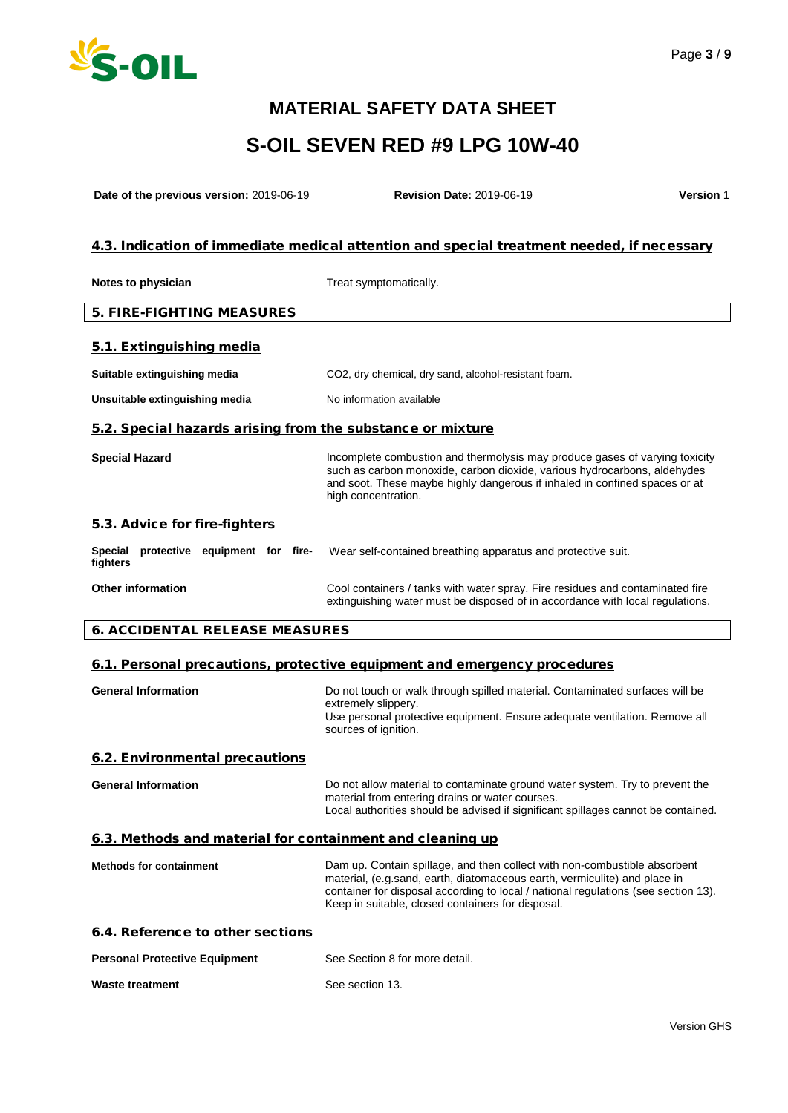

# **S-OIL SEVEN RED #9 LPG 10W-40**

**Date of the previous version:** 2019-06-19 **Revision Date:** 2019-06-19 **Version** 1

## 4.3. Indication of immediate medical attention and special treatment needed, if necessary

| Notes to physician                                         | Treat symptomatically.                                                                                                                                                                                                                                       |  |
|------------------------------------------------------------|--------------------------------------------------------------------------------------------------------------------------------------------------------------------------------------------------------------------------------------------------------------|--|
| <b>5. FIRE-FIGHTING MEASURES</b>                           |                                                                                                                                                                                                                                                              |  |
| 5.1. Extinguishing media                                   |                                                                                                                                                                                                                                                              |  |
| Suitable extinguishing media                               | CO2, dry chemical, dry sand, alcohol-resistant foam.                                                                                                                                                                                                         |  |
| Unsuitable extinguishing media                             | No information available                                                                                                                                                                                                                                     |  |
| 5.2. Special hazards arising from the substance or mixture |                                                                                                                                                                                                                                                              |  |
| <b>Special Hazard</b>                                      | Incomplete combustion and thermolysis may produce gases of varying toxicity<br>such as carbon monoxide, carbon dioxide, various hydrocarbons, aldehydes<br>and soot. These maybe highly dangerous if inhaled in confined spaces or at<br>high concentration. |  |
| 5.3. Advice for fire-fighters                              |                                                                                                                                                                                                                                                              |  |
| protective equipment for fire-<br>Special<br>fighters      | Wear self-contained breathing apparatus and protective suit.                                                                                                                                                                                                 |  |
| <b>Other information</b>                                   | Cool containers / tanks with water spray. Fire residues and contaminated fire<br>extinguishing water must be disposed of in accordance with local regulations.                                                                                               |  |

### 6. ACCIDENTAL RELEASE MEASURES

#### 6.1. Personal precautions, protective equipment and emergency procedures

| <b>General Information</b>                                | Do not touch or walk through spilled material. Contaminated surfaces will be<br>extremely slippery.<br>Use personal protective equipment. Ensure adequate ventilation. Remove all<br>sources of ignition.            |
|-----------------------------------------------------------|----------------------------------------------------------------------------------------------------------------------------------------------------------------------------------------------------------------------|
| 6.2. Environmental precautions                            |                                                                                                                                                                                                                      |
| <b>General Information</b>                                | Do not allow material to contaminate ground water system. Try to prevent the<br>material from entering drains or water courses.<br>Local authorities should be advised if significant spillages cannot be contained. |
| 6.3. Methods and material for containment and cleaning up |                                                                                                                                                                                                                      |

| <b>Methods for containment</b> | Dam up. Contain spillage, and then collect with non-combustible absorbent          |
|--------------------------------|------------------------------------------------------------------------------------|
|                                | material, (e.g.sand, earth, diatomaceous earth, vermiculite) and place in          |
|                                | container for disposal according to local / national regulations (see section 13). |
|                                | Keep in suitable, closed containers for disposal.                                  |
|                                |                                                                                    |

|  |  | 6.4. Reference to other sections |
|--|--|----------------------------------|
|  |  |                                  |

| <b>Personal Protective Equipment</b> | See Section 8 for more detail. |
|--------------------------------------|--------------------------------|
| <b>Waste treatment</b>               | See section 13.                |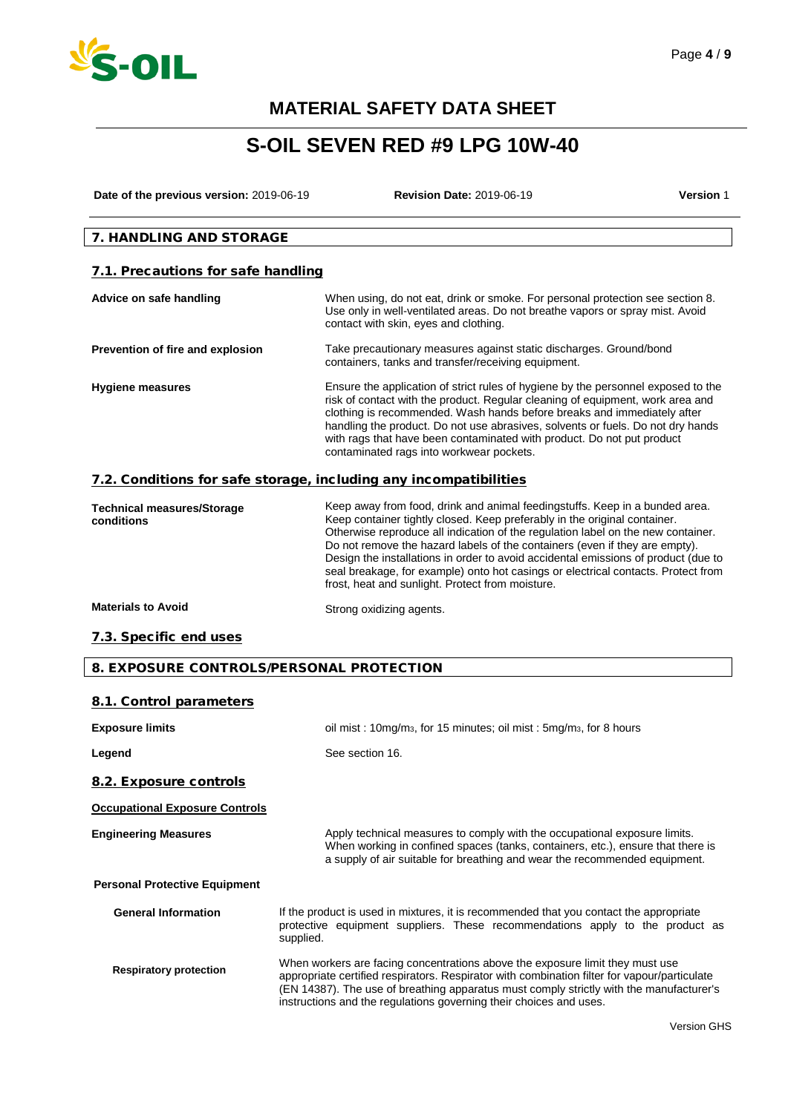

# **S-OIL SEVEN RED #9 LPG 10W-40**

**Date of the previous version:** 2019-06-19 **Revision Date:** 2019-06-19 **Version** 1

## 7. HANDLING AND STORAGE

## 7.1. Precautions for safe handling

| Advice on safe handling                                           | When using, do not eat, drink or smoke. For personal protection see section 8.<br>Use only in well-ventilated areas. Do not breathe vapors or spray mist. Avoid<br>contact with skin, eyes and clothing.                                                                                                                                                                                                                                                |
|-------------------------------------------------------------------|---------------------------------------------------------------------------------------------------------------------------------------------------------------------------------------------------------------------------------------------------------------------------------------------------------------------------------------------------------------------------------------------------------------------------------------------------------|
| Prevention of fire and explosion                                  | Take precautionary measures against static discharges. Ground/bond<br>containers, tanks and transfer/receiving equipment.                                                                                                                                                                                                                                                                                                                               |
| <b>Hygiene measures</b>                                           | Ensure the application of strict rules of hygiene by the personnel exposed to the<br>risk of contact with the product. Regular cleaning of equipment, work area and<br>clothing is recommended. Wash hands before breaks and immediately after<br>handling the product. Do not use abrasives, solvents or fuels. Do not dry hands<br>with rags that have been contaminated with product. Do not put product<br>contaminated rags into workwear pockets. |
| 7.2. Conditions for safe storage, including any incompatibilities |                                                                                                                                                                                                                                                                                                                                                                                                                                                         |
| <b>Technical measures/Storage</b><br>conditions                   | Keep away from food, drink and animal feedingstuffs. Keep in a bunded area.<br>Keep container tightly closed. Keep preferably in the original container.<br>recommendation of the contract of the contract of the contract of the contract of the contract of the contract of the contract of the contract of the contract of the contract of the contract of the contract of the contract                                                              |

| <b>I CUILILLAI THEASULES/SLUI AYE</b><br>conditions | 1,000 and filem 1000, annil and annillar 1000 rigolation 1,000 in a bandod aroa.<br>Keep container tightly closed. Keep preferably in the original container.<br>Otherwise reproduce all indication of the regulation label on the new container.<br>Do not remove the hazard labels of the containers (even if they are empty).<br>Design the installations in order to avoid accidental emissions of product (due to<br>seal breakage, for example) onto hot casings or electrical contacts. Protect from<br>frost, heat and sunlight. Protect from moisture. |
|-----------------------------------------------------|-----------------------------------------------------------------------------------------------------------------------------------------------------------------------------------------------------------------------------------------------------------------------------------------------------------------------------------------------------------------------------------------------------------------------------------------------------------------------------------------------------------------------------------------------------------------|
| <b>Materials to Avoid</b>                           | Strong oxidizing agents.                                                                                                                                                                                                                                                                                                                                                                                                                                                                                                                                        |

### 7.3. Specific end uses

### 8. EXPOSURE CONTROLS/PERSONAL PROTECTION

| 8.1. Control parameters               |                                                                                                                                                                                                                                                                                                                                                |
|---------------------------------------|------------------------------------------------------------------------------------------------------------------------------------------------------------------------------------------------------------------------------------------------------------------------------------------------------------------------------------------------|
| <b>Exposure limits</b>                | oil mist: 10mg/m <sub>3</sub> , for 15 minutes; oil mist: 5mg/m <sub>3</sub> , for 8 hours                                                                                                                                                                                                                                                     |
| Legend                                | See section 16.                                                                                                                                                                                                                                                                                                                                |
| 8.2. Exposure controls                |                                                                                                                                                                                                                                                                                                                                                |
| <b>Occupational Exposure Controls</b> |                                                                                                                                                                                                                                                                                                                                                |
| <b>Engineering Measures</b>           | Apply technical measures to comply with the occupational exposure limits.<br>When working in confined spaces (tanks, containers, etc.), ensure that there is<br>a supply of air suitable for breathing and wear the recommended equipment.                                                                                                     |
| <b>Personal Protective Equipment</b>  |                                                                                                                                                                                                                                                                                                                                                |
| <b>General Information</b>            | If the product is used in mixtures, it is recommended that you contact the appropriate<br>protective equipment suppliers. These recommendations apply to the product as<br>supplied.                                                                                                                                                           |
| <b>Respiratory protection</b>         | When workers are facing concentrations above the exposure limit they must use<br>appropriate certified respirators. Respirator with combination filter for vapour/particulate<br>(EN 14387). The use of breathing apparatus must comply strictly with the manufacturer's<br>instructions and the regulations governing their choices and uses. |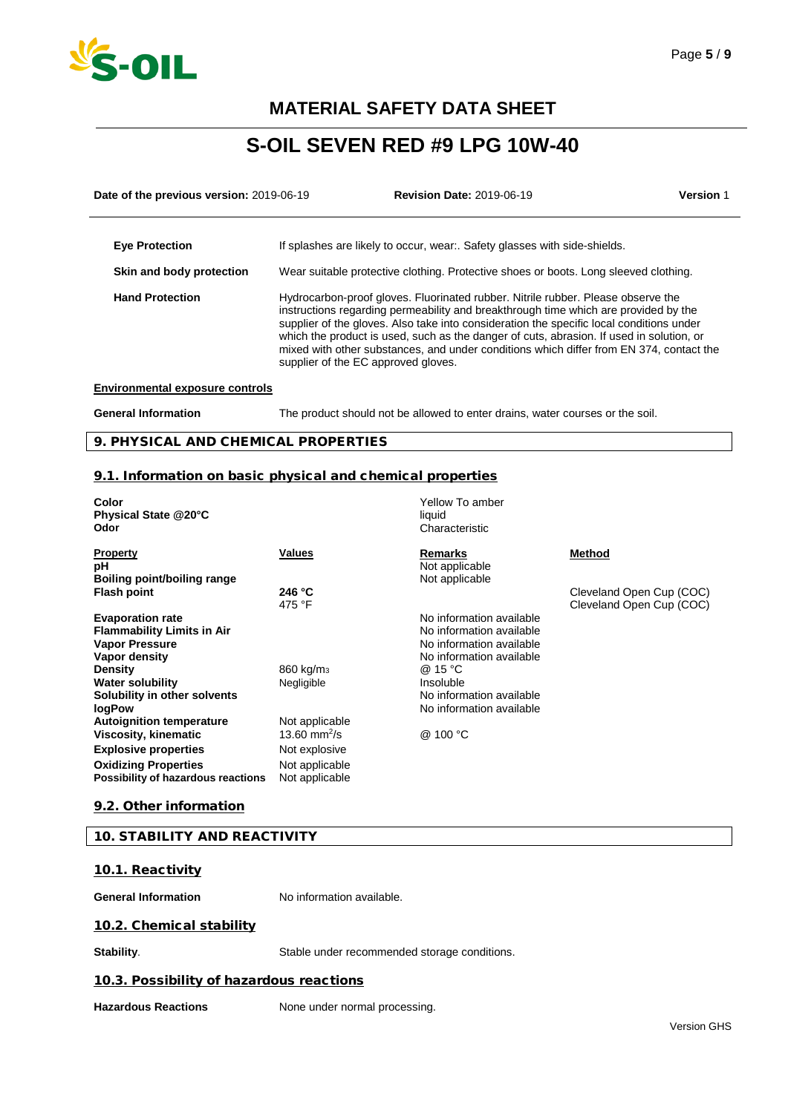

# **S-OIL SEVEN RED #9 LPG 10W-40**

| Date of the previous version: 2019-06-19 |                                                                                                                                                                                                                                                                                                                                                                                                                                                                                                   | <b>Revision Date: 2019-06-19</b>                                                     | <b>Version 1</b> |
|------------------------------------------|---------------------------------------------------------------------------------------------------------------------------------------------------------------------------------------------------------------------------------------------------------------------------------------------------------------------------------------------------------------------------------------------------------------------------------------------------------------------------------------------------|--------------------------------------------------------------------------------------|------------------|
| <b>Eye Protection</b>                    |                                                                                                                                                                                                                                                                                                                                                                                                                                                                                                   | If splashes are likely to occur, wear Safety glasses with side-shields.              |                  |
| Skin and body protection                 |                                                                                                                                                                                                                                                                                                                                                                                                                                                                                                   | Wear suitable protective clothing. Protective shoes or boots. Long sleeved clothing. |                  |
| <b>Hand Protection</b>                   | Hydrocarbon-proof gloves. Fluorinated rubber. Nitrile rubber. Please observe the<br>instructions regarding permeability and breakthrough time which are provided by the<br>supplier of the gloves. Also take into consideration the specific local conditions under<br>which the product is used, such as the danger of cuts, abrasion. If used in solution, or<br>mixed with other substances, and under conditions which differ from EN 374, contact the<br>supplier of the EC approved gloves. |                                                                                      |                  |
| <b>Environmental exposure controls</b>   |                                                                                                                                                                                                                                                                                                                                                                                                                                                                                                   |                                                                                      |                  |

#### **Environmental exposure controls**

**General Information** The product should not be allowed to enter drains, water courses or the soil.

## 9. PHYSICAL AND CHEMICAL PROPERTIES

### 9.1. Information on basic physical and chemical properties

| Color<br>Physical State @20°C<br>Odor                                                                  |                                            | Yellow To amber<br>liquid<br>Characteristic                                                                  |                                                      |
|--------------------------------------------------------------------------------------------------------|--------------------------------------------|--------------------------------------------------------------------------------------------------------------|------------------------------------------------------|
| <b>Property</b><br>рH<br>Boiling point/boiling range                                                   | <b>Values</b>                              | <b>Remarks</b><br>Not applicable<br>Not applicable                                                           | Method                                               |
| <b>Flash point</b>                                                                                     | 246 °C<br>475 °F                           |                                                                                                              | Cleveland Open Cup (COC)<br>Cleveland Open Cup (COC) |
| <b>Evaporation rate</b><br><b>Flammability Limits in Air</b><br><b>Vapor Pressure</b><br>Vapor density |                                            | No information available<br>No information available<br>No information available<br>No information available |                                                      |
| <b>Density</b><br><b>Water solubility</b>                                                              | 860 kg/m <sub>3</sub><br>Negligible        | @ 15 °C<br>Insoluble                                                                                         |                                                      |
| Solubility in other solvents<br><b>logPow</b>                                                          |                                            | No information available<br>No information available                                                         |                                                      |
| <b>Autoignition temperature</b><br>Viscosity, kinematic                                                | Not applicable<br>13.60 mm <sup>2</sup> /s | @ 100 °C                                                                                                     |                                                      |
| <b>Explosive properties</b>                                                                            | Not explosive                              |                                                                                                              |                                                      |
| <b>Oxidizing Properties</b><br>Possibility of hazardous reactions                                      | Not applicable<br>Not applicable           |                                                                                                              |                                                      |

## 9.2. Other information

### 10. STABILITY AND REACTIVITY

### 10.1. Reactivity

**General Information** No information available.

### 10.2. Chemical stability

**Stability.** Stable under recommended storage conditions.

## 10.3. Possibility of hazardous reactions

Hazardous Reactions **None under normal processing**.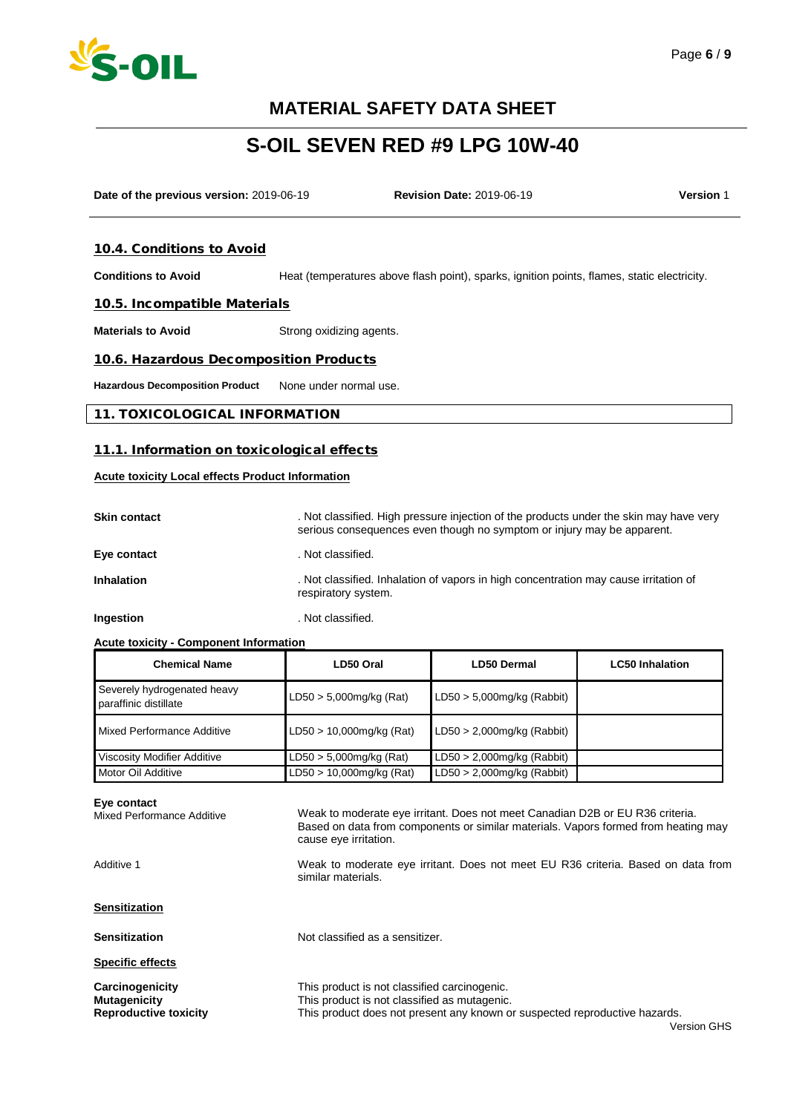

# **S-OIL SEVEN RED #9 LPG 10W-40**

**Date of the previous version:** 2019-06-19 **Revision Date:** 2019-06-19 **Version** 1

#### 10.4. Conditions to Avoid

**Conditions to Avoid** Heat (temperatures above flash point), sparks, ignition points, flames, static electricity.

#### 10.5. Incompatible Materials

**Materials to Avoid** Strong oxidizing agents.

#### 10.6. Hazardous Decomposition Products

**Hazardous Decomposition Product** None under normal use.

#### 11. TOXICOLOGICAL INFORMATION

#### 11.1. Information on toxicological effects

#### **Acute toxicity Local effects Product Information**

| <b>Skin contact</b> | . Not classified. High pressure injection of the products under the skin may have very<br>serious consequences even though no symptom or injury may be apparent. |
|---------------------|------------------------------------------------------------------------------------------------------------------------------------------------------------------|
| Eye contact         | . Not classified.                                                                                                                                                |
| <b>Inhalation</b>   | . Not classified. Inhalation of vapors in high concentration may cause irritation of<br>respiratory system.                                                      |

**Ingestion Ingestion Ingestion Installer Installer Installer Installer Installer Installer Installer** 

#### **Acute toxicity - Component Information**

| <b>Chemical Name</b>                                 | LD50 Oral                   | <b>LD50 Dermal</b>            | <b>LC50 Inhalation</b> |
|------------------------------------------------------|-----------------------------|-------------------------------|------------------------|
| Severely hydrogenated heavy<br>paraffinic distillate | $LD50 > 5,000$ mg/kg (Rat)  | $LD50 > 5,000$ mg/kg (Rabbit) |                        |
| Mixed Performance Additive                           | $LD50 > 10,000$ mg/kg (Rat) | $LD50 > 2,000$ mg/kg (Rabbit) |                        |
| Viscosity Modifier Additive                          | $LD50 > 5,000$ mg/kg (Rat)  | $LD50 > 2,000$ mg/kg (Rabbit) |                        |
| Motor Oil Additive                                   | LD50 > 10,000mg/kg (Rat)    | $LD50 > 2,000$ mg/kg (Rabbit) |                        |

#### **Eye contact**

Mixed Performance Additive

Weak to moderate eye irritant. Does not meet Canadian D2B or EU R36 criteria. Based on data from components or similar materials. Vapors formed from heating may cause eye irritation.

Additive 1

Weak to moderate eye irritant. Does not meet EU R36 criteria. Based on data from similar materials.

**Sensitization**

**Sensitization** Not classified as a sensitizer.

**Specific effects**

**Carcinogenicity** This product is not classified carcinogenic.<br> **Mutagenicity** This product is not classified as mutagenic **Mutagenicity**<br> **Reproductive toxicity**<br>
This product does not present any known of<br> **Reproductive toxicity**<br>
This product does not present any known of This product does not present any known or suspected reproductive hazards.

Page **6** / **9**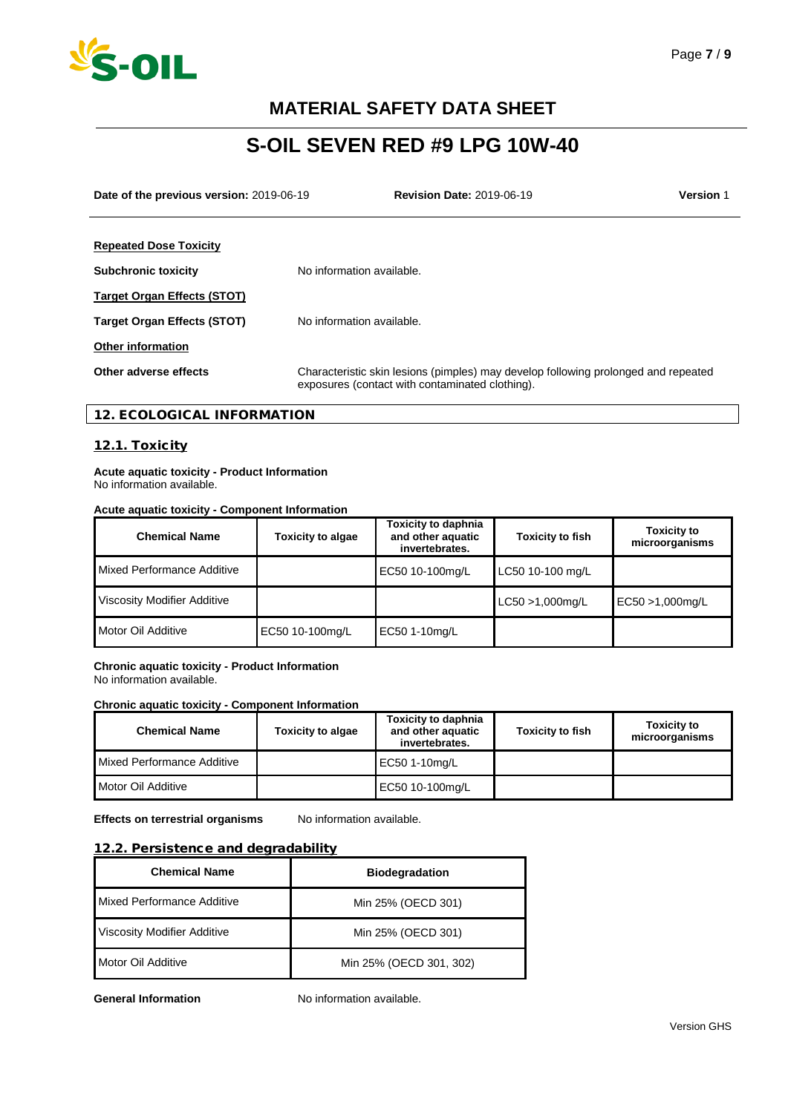

# **S-OIL SEVEN RED #9 LPG 10W-40**

**Date of the previous version:** 2019-06-19 **Revision Date:** 2019-06-19 **Version** 1

| <b>Repeated Dose Toxicity</b>      |                                                                                                                                       |
|------------------------------------|---------------------------------------------------------------------------------------------------------------------------------------|
| <b>Subchronic toxicity</b>         | No information available.                                                                                                             |
| <b>Target Organ Effects (STOT)</b> |                                                                                                                                       |
| <b>Target Organ Effects (STOT)</b> | No information available.                                                                                                             |
| <b>Other information</b>           |                                                                                                                                       |
| Other adverse effects              | Characteristic skin lesions (pimples) may develop following prolonged and repeated<br>exposures (contact with contaminated clothing). |

## 12. ECOLOGICAL INFORMATION

## 12.1. Toxicity

**Acute aquatic toxicity - Product Information** No information available.

## **Acute aquatic toxicity - Component Information**

| <b>Chemical Name</b>        | <b>Toxicity to algae</b> | <b>Toxicity to daphnia</b><br>and other aquatic<br>invertebrates. | <b>Toxicity to fish</b> | <b>Toxicity to</b><br>microorganisms |
|-----------------------------|--------------------------|-------------------------------------------------------------------|-------------------------|--------------------------------------|
| Mixed Performance Additive  |                          | EC50 10-100mg/L                                                   | LC50 10-100 mg/L        |                                      |
| Viscosity Modifier Additive |                          |                                                                   | LC50 >1,000mg/L         | EC50 >1,000mg/L                      |
| Motor Oil Additive          | EC50 10-100mg/L          | EC50 1-10mg/L                                                     |                         |                                      |

#### **Chronic aquatic toxicity - Product Information** No information available.

#### **Chronic aquatic toxicity - Component Information**

| <b>Chemical Name</b>       | <b>Toxicity to algae</b> | <b>Toxicity to daphnia</b><br>and other aquatic<br>invertebrates. | <b>Toxicity to fish</b> | <b>Toxicity to</b><br>microorganisms |
|----------------------------|--------------------------|-------------------------------------------------------------------|-------------------------|--------------------------------------|
| Mixed Performance Additive |                          | EC50 1-10mg/L                                                     |                         |                                      |
| Motor Oil Additive         |                          | EC50 10-100mg/L                                                   |                         |                                      |

**Effects on terrestrial organisms** No information available.

### 12.2. Persistence and degradability

| <b>Chemical Name</b>        | <b>Biodegradation</b>   |
|-----------------------------|-------------------------|
| Mixed Performance Additive  | Min 25% (OECD 301)      |
| Viscosity Modifier Additive | Min 25% (OECD 301)      |
| Motor Oil Additive          | Min 25% (OECD 301, 302) |

**General Information** No information available.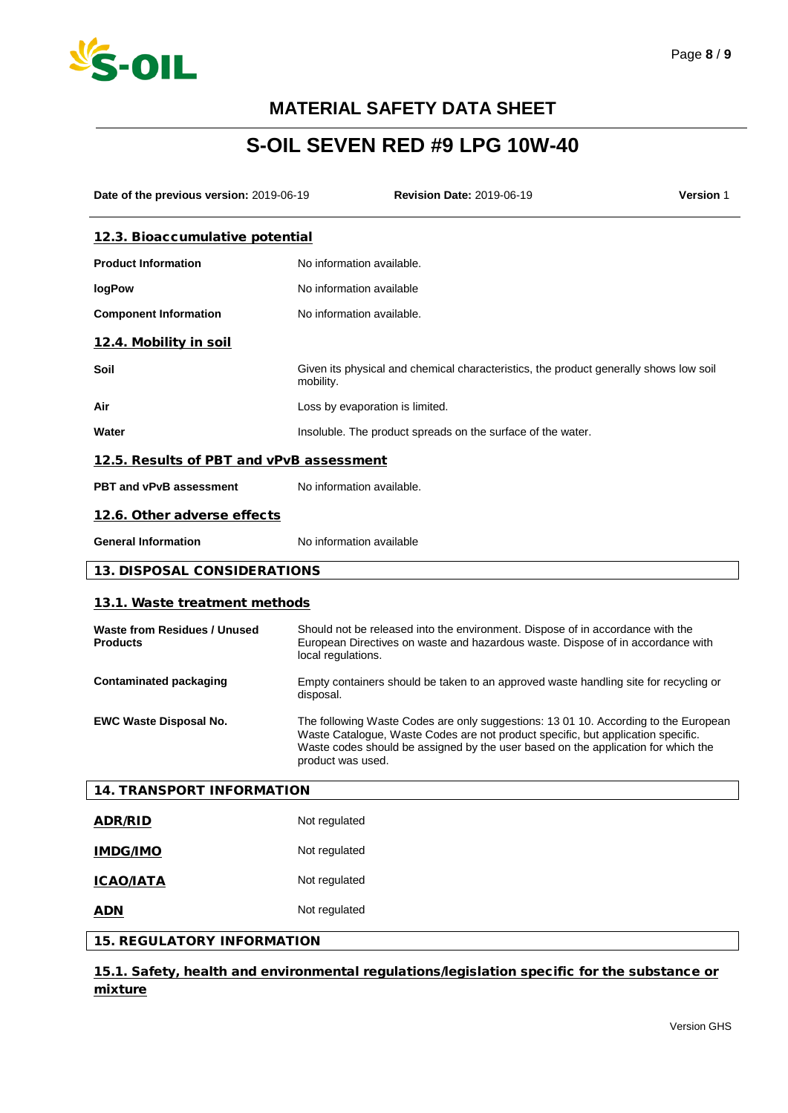

# **S-OIL SEVEN RED #9 LPG 10W-40**

| Date of the previous version: 2019-06-19        |                    | <b>Revision Date: 2019-06-19</b>                                                                                                                                                                                                                             | <b>Version 1</b> |
|-------------------------------------------------|--------------------|--------------------------------------------------------------------------------------------------------------------------------------------------------------------------------------------------------------------------------------------------------------|------------------|
| 12.3. Bioaccumulative potential                 |                    |                                                                                                                                                                                                                                                              |                  |
| <b>Product Information</b>                      |                    | No information available.                                                                                                                                                                                                                                    |                  |
| logPow                                          |                    | No information available                                                                                                                                                                                                                                     |                  |
| <b>Component Information</b>                    |                    | No information available.                                                                                                                                                                                                                                    |                  |
| 12.4. Mobility in soil                          |                    |                                                                                                                                                                                                                                                              |                  |
| Soil                                            | mobility.          | Given its physical and chemical characteristics, the product generally shows low soil                                                                                                                                                                        |                  |
| Air                                             |                    | Loss by evaporation is limited.                                                                                                                                                                                                                              |                  |
| Water                                           |                    | Insoluble. The product spreads on the surface of the water.                                                                                                                                                                                                  |                  |
| 12.5. Results of PBT and vPvB assessment        |                    |                                                                                                                                                                                                                                                              |                  |
| <b>PBT and vPvB assessment</b>                  |                    | No information available.                                                                                                                                                                                                                                    |                  |
| 12.6. Other adverse effects                     |                    |                                                                                                                                                                                                                                                              |                  |
| <b>General Information</b>                      |                    | No information available                                                                                                                                                                                                                                     |                  |
| <b>13. DISPOSAL CONSIDERATIONS</b>              |                    |                                                                                                                                                                                                                                                              |                  |
| 13.1. Waste treatment methods                   |                    |                                                                                                                                                                                                                                                              |                  |
| Waste from Residues / Unused<br><b>Products</b> | local regulations. | Should not be released into the environment. Dispose of in accordance with the<br>European Directives on waste and hazardous waste. Dispose of in accordance with                                                                                            |                  |
| <b>Contaminated packaging</b>                   | disposal.          | Empty containers should be taken to an approved waste handling site for recycling or                                                                                                                                                                         |                  |
| <b>EWC Waste Disposal No.</b>                   | product was used.  | The following Waste Codes are only suggestions: 13 01 10. According to the European<br>Waste Catalogue, Waste Codes are not product specific, but application specific.<br>Waste codes should be assigned by the user based on the application for which the |                  |
| <b>14. TRANSPORT INFORMATION</b>                |                    |                                                                                                                                                                                                                                                              |                  |
| <b>ADR/RID</b>                                  | Not regulated      |                                                                                                                                                                                                                                                              |                  |
| <b>IMDG/IMO</b>                                 | Not regulated      |                                                                                                                                                                                                                                                              |                  |
| <b>ICAO/IATA</b>                                | Not regulated      |                                                                                                                                                                                                                                                              |                  |
| <b>ADN</b>                                      | Not regulated      |                                                                                                                                                                                                                                                              |                  |
| <b>15. REGULATORY INFORMATION</b>               |                    |                                                                                                                                                                                                                                                              |                  |

15.1. Safety, health and environmental regulations/legislation specific for the substance or mixture